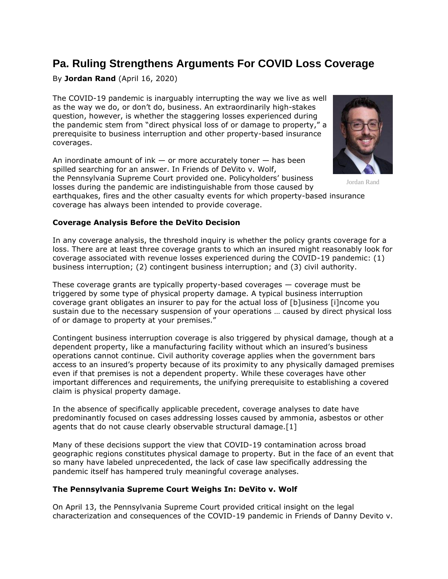# **Pa. Ruling Strengthens Arguments For COVID Loss Coverage**

By **Jordan Rand** (April 16, 2020)

The COVID-19 pandemic is inarguably interrupting the way we live as well as the way we do, or don't do, business. An extraordinarily high-stakes question, however, is whether the staggering losses experienced during the pandemic stem from "direct physical loss of or damage to property," a prerequisite to business interruption and other property-based insurance coverages.

An inordinate amount of ink  $-$  or more accurately toner  $-$  has been spilled searching for an answer. In Friends of DeVito v. Wolf, the [Pennsylvania Supreme Court](https://www.law360.com/agencies/pennsylvania-supreme-court) provided one. Policyholders' business losses during the pandemic are indistinguishable from those caused by



Jordan Rand

earthquakes, fires and the other casualty events for which property-based insurance coverage has always been intended to provide coverage.

## **Coverage Analysis Before the DeVito Decision**

In any coverage analysis, the threshold inquiry is whether the policy grants coverage for a loss. There are at least three coverage grants to which an insured might reasonably look for coverage associated with revenue losses experienced during the COVID-19 pandemic: (1) business interruption; (2) contingent business interruption; and (3) civil authority.

These coverage grants are typically property-based coverages — coverage must be triggered by some type of physical property damage. A typical business interruption coverage grant obligates an insurer to pay for the actual loss of [b]usiness [i]ncome you sustain due to the necessary suspension of your operations … caused by direct physical loss of or damage to property at your premises."

Contingent business interruption coverage is also triggered by physical damage, though at a dependent property, like a manufacturing facility without which an insured's business operations cannot continue. Civil authority coverage applies when the government bars access to an insured's property because of its proximity to any physically damaged premises even if that premises is not a dependent property. While these coverages have other important differences and requirements, the unifying prerequisite to establishing a covered claim is physical property damage.

In the absence of specifically applicable precedent, coverage analyses to date have predominantly focused on cases addressing losses caused by ammonia, asbestos or other agents that do not cause clearly observable structural damage.[1]

Many of these decisions support the view that COVID-19 contamination across broad geographic regions constitutes physical damage to property. But in the face of an event that so many have labeled unprecedented, the lack of case law specifically addressing the pandemic itself has hampered truly meaningful coverage analyses.

## **The Pennsylvania Supreme Court Weighs In: DeVito v. Wolf**

On April 13, the Pennsylvania Supreme Court provided critical insight on the legal characterization and consequences of the COVID-19 pandemic in Friends of Danny Devito v.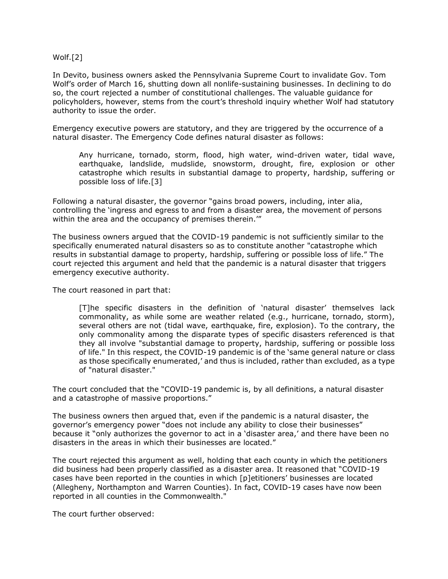#### Wolf.[2]

In Devito, business owners asked the Pennsylvania Supreme Court to invalidate Gov. Tom Wolf's order of March 16, shutting down all nonlife-sustaining businesses. In declining to do so, the court rejected a number of constitutional challenges. The valuable guidance for policyholders, however, stems from the court's threshold inquiry whether Wolf had statutory authority to issue the order.

Emergency executive powers are statutory, and they are triggered by the occurrence of a natural disaster. The Emergency Code defines natural disaster as follows:

Any hurricane, tornado, storm, flood, high water, wind-driven water, tidal wave, earthquake, landslide, mudslide, snowstorm, drought, fire, explosion or other catastrophe which results in substantial damage to property, hardship, suffering or possible loss of life.[3]

Following a natural disaster, the governor "gains broad powers, including, inter alia, controlling the 'ingress and egress to and from a disaster area, the movement of persons within the area and the occupancy of premises therein."

The business owners argued that the COVID-19 pandemic is not sufficiently similar to the specifically enumerated natural disasters so as to constitute another "catastrophe which results in substantial damage to property, hardship, suffering or possible loss of life." The court rejected this argument and held that the pandemic is a natural disaster that triggers emergency executive authority.

The court reasoned in part that:

[T]he specific disasters in the definition of 'natural disaster' themselves lack commonality, as while some are weather related (e.g., hurricane, tornado, storm), several others are not (tidal wave, earthquake, fire, explosion). To the contrary, the only commonality among the disparate types of specific disasters referenced is that they all involve "substantial damage to property, hardship, suffering or possible loss of life." In this respect, the COVID-19 pandemic is of the 'same general nature or class as those specifically enumerated,' and thus is included, rather than excluded, as a type of "natural disaster."

The court concluded that the "COVID-19 pandemic is, by all definitions, a natural disaster and a catastrophe of massive proportions."

The business owners then argued that, even if the pandemic is a natural disaster, the governor's emergency power "does not include any ability to close their businesses" because it "only authorizes the governor to act in a 'disaster area,' and there have been no disasters in the areas in which their businesses are located."

The court rejected this argument as well, holding that each county in which the petitioners did business had been properly classified as a disaster area. It reasoned that "COVID-19 cases have been reported in the counties in which [p]etitioners' businesses are located (Allegheny, Northampton and Warren Counties). In fact, COVID-19 cases have now been reported in all counties in the Commonwealth."

The court further observed: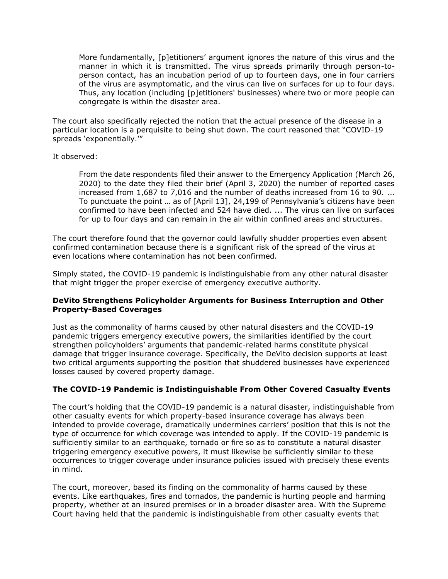More fundamentally, [p]etitioners' argument ignores the nature of this virus and the manner in which it is transmitted. The virus spreads primarily through person-toperson contact, has an incubation period of up to fourteen days, one in four carriers of the virus are asymptomatic, and the virus can live on surfaces for up to four days. Thus, any location (including [p]etitioners' businesses) where two or more people can congregate is within the disaster area.

The court also specifically rejected the notion that the actual presence of the disease in a particular location is a perquisite to being shut down. The court reasoned that "COVID-19 spreads 'exponentially.'"

#### It observed:

From the date respondents filed their answer to the Emergency Application (March 26, 2020) to the date they filed their brief (April 3, 2020) the number of reported cases increased from 1,687 to 7,016 and the number of deaths increased from 16 to 90. ... To punctuate the point … as of [April 13], 24,199 of Pennsylvania's citizens have been confirmed to have been infected and 524 have died. ... The virus can live on surfaces for up to four days and can remain in the air within confined areas and structures.

The court therefore found that the governor could lawfully shudder properties even absent confirmed contamination because there is a significant risk of the spread of the virus at even locations where contamination has not been confirmed.

Simply stated, the COVID-19 pandemic is indistinguishable from any other natural disaster that might trigger the proper exercise of emergency executive authority.

## **DeVito Strengthens Policyholder Arguments for Business Interruption and Other Property-Based Coverages**

Just as the commonality of harms caused by other natural disasters and the COVID-19 pandemic triggers emergency executive powers, the similarities identified by the court strengthen policyholders' arguments that pandemic-related harms constitute physical damage that trigger insurance coverage. Specifically, the DeVito decision supports at least two critical arguments supporting the position that shuddered businesses have experienced losses caused by covered property damage.

## **The COVID-19 Pandemic is Indistinguishable From Other Covered Casualty Events**

The court's holding that the COVID-19 pandemic is a natural disaster, indistinguishable from other casualty events for which property-based insurance coverage has always been intended to provide coverage, dramatically undermines carriers' position that this is not the type of occurrence for which coverage was intended to apply. If the COVID-19 pandemic is sufficiently similar to an earthquake, tornado or fire so as to constitute a natural disaster triggering emergency executive powers, it must likewise be sufficiently similar to these occurrences to trigger coverage under insurance policies issued with precisely these events in mind.

The court, moreover, based its finding on the commonality of harms caused by these events. Like earthquakes, fires and tornados, the pandemic is hurting people and harming property, whether at an insured premises or in a broader disaster area. With the Supreme Court having held that the pandemic is indistinguishable from other casualty events that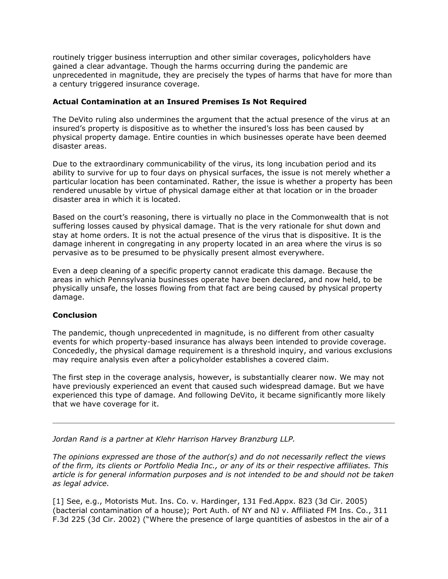routinely trigger business interruption and other similar coverages, policyholders have gained a clear advantage. Though the harms occurring during the pandemic are unprecedented in magnitude, they are precisely the types of harms that have for more than a century triggered insurance coverage.

## **Actual Contamination at an Insured Premises Is Not Required**

The DeVito ruling also undermines the argument that the actual presence of the virus at an insured's property is dispositive as to whether the insured's loss has been caused by physical property damage. Entire counties in which businesses operate have been deemed disaster areas.

Due to the extraordinary communicability of the virus, its long incubation period and its ability to survive for up to four days on physical surfaces, the issue is not merely whether a particular location has been contaminated. Rather, the issue is whether a property has been rendered unusable by virtue of physical damage either at that location or in the broader disaster area in which it is located.

Based on the court's reasoning, there is virtually no place in the Commonwealth that is not suffering losses caused by physical damage. That is the very rationale for shut down and stay at home orders. It is not the actual presence of the virus that is dispositive. It is the damage inherent in congregating in any property located in an area where the virus is so pervasive as to be presumed to be physically present almost everywhere.

Even a deep cleaning of a specific property cannot eradicate this damage. Because the areas in which Pennsylvania businesses operate have been declared, and now held, to be physically unsafe, the losses flowing from that fact are being caused by physical property damage.

## **Conclusion**

The pandemic, though unprecedented in magnitude, is no different from other casualty events for which property-based insurance has always been intended to provide coverage. Concededly, the physical damage requirement is a threshold inquiry, and various exclusions may require analysis even after a policyholder establishes a covered claim.

The first step in the coverage analysis, however, is substantially clearer now. We may not have previously experienced an event that caused such widespread damage. But we have experienced this type of damage. And following DeVito, it became significantly more likely that we have coverage for it.

*[Jordan Rand](https://www.klehr.com/people/jordan-m-rand/) is a partner at [Klehr Harrison Harvey Branzburg LLP.](https://www.law360.com/firms/klehr-harrison)*

*The opinions expressed are those of the author(s) and do not necessarily reflect the views of the firm, its clients or Portfolio Media Inc., or any of its or their respective affiliates. This article is for general information purposes and is not intended to be and should not be taken as legal advice.*

[1] See, e.g., Motorists Mut. Ins. Co. v. Hardinger, 131 Fed.Appx. 823 (3d Cir. 2005) (bacterial contamination of a house); Port Auth. of NY and NJ v. Affiliated FM Ins. Co., 311 F.3d 225 (3d Cir. 2002) ("Where the presence of large quantities of asbestos in the air of a